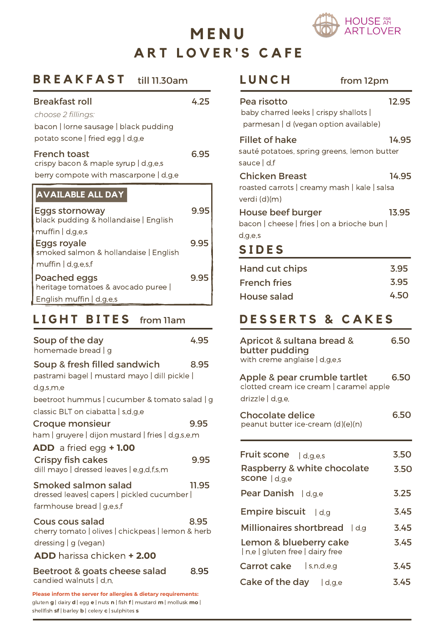

# **A R T L O V E R ' S C A F E M E N U**

| BREAKFAST<br>till 11.30am                                                                                    |       |
|--------------------------------------------------------------------------------------------------------------|-------|
| <b>Breakfast roll</b>                                                                                        | 4.25  |
| choose 2 fillings:<br>bacon   lorne sausage   black pudding<br>potato scone   fried egg   d,g,e              |       |
| <b>French toast</b><br>crispy bacon & maple syrup   d,g,e,s<br>berry compote with mascarpone   d,g,e         | 6.95  |
| AVAILABLE ALL DAY                                                                                            |       |
| <b>Eggs stornoway</b><br>black pudding & hollandaise   English                                               | 9.95  |
| muffin $ $ d,g,e,s<br>Eggs royale<br>smoked salmon & hollandaise   English                                   | 9.95  |
| muffin   d.g.e.s.f<br><b>Poached eggs</b><br>heritage tomatoes & avocado puree  <br>English muffin   d,g,e,s | 9.95  |
| <b>LIGHT BITES</b><br>from Ilam                                                                              |       |
| Soup of the day                                                                                              |       |
| homemade bread   g                                                                                           | 4.95  |
| Soup & fresh filled sandwich<br>pastrami bagel   mustard mayo   dill pickle                                  | 8.95  |
| d,g,s,m,e<br>beetroot hummus   cucumber & tomato salad   g                                                   |       |
| classic BLT on ciabatta   s,d,g,e<br>Croque monsieur<br>ham   gruyere   dijon mustard   fries   d,g,s,e,m    | 9.95  |
| <b>ADD</b> a fried egg + 1.00<br><b>Crispy fish cakes</b><br>dill mayo   dressed leaves   e,g,d,f,s,m        | 9.95  |
| Smoked salmon salad<br>dressed leaves  capers   pickled cucumber  <br>farmhouse bread   g,e,s,f              | 11.95 |

**ADD** harissa chicken **+ 2.00**

Beetroot & goats cheese salad candied walnuts | d,n, 8.95

**Please inform the server for allergies & dietary requirements:** gluten **g** | dairy **d** | egg **e** | nuts **n** | fish **f** | mustard **m** | mollusk **mo** | shellfish **sf** | barley **b** | celery **c** | sulphites **s**

| LUNCH<br>from 12pm                                                                             |              |
|------------------------------------------------------------------------------------------------|--------------|
| Pea risotto<br>baby charred leeks   crispy shallots  <br>parmesan   d (vegan option available) | 12.95        |
| <b>Fillet of hake</b><br>sauté potatoes, spring greens, lemon butter<br>sauce   d,f            | 14.95        |
| <b>Chicken Breast</b><br>roasted carrots   creamy mash   kale   salsa<br>verdi (d)(m)          | 14.95        |
| House beef burger<br>bacon   cheese   fries   on a brioche bun  <br>d,g,e,s                    | 13.95        |
| <b>SIDES</b>                                                                                   |              |
| <b>Hand cut chips</b><br><b>French fries</b>                                                   | 3.95<br>3.95 |
| House salad                                                                                    | 4 50         |

## **D E S S E R T S & C A K E S**

| Apricot & sultana bread &<br>butter pudding<br>with creme anglaise   d,g,e,s                | 6.50 |
|---------------------------------------------------------------------------------------------|------|
| Apple & pear crumble tartlet<br>clotted cream ice cream   caramel apple<br>drizzle   d,g,e, | 6.50 |
| <b>Chocolate delice</b><br>peanut butter ice-cream (d)(e)(n)                                | 6.50 |
| Fruit scone   d,g,e,s                                                                       | 3.50 |
| Raspberry & white chocolate<br>scone   d,g,e                                                | 3.50 |
| Pear Danish   d,g,e                                                                         | 3.25 |
| <b>Empire biscuit</b> $ d,g $                                                               | 3.45 |
| <b>Millionaires shortbread</b><br>$ $ d,g                                                   | 3.45 |
| Lemon & blueberry cake<br>  n,e   gluten free   dairy free                                  | 3.45 |
| Carrot cake   s,n,d,e,g                                                                     | 3.45 |
| Cake of the day<br>  d.g.e                                                                  | 3.45 |